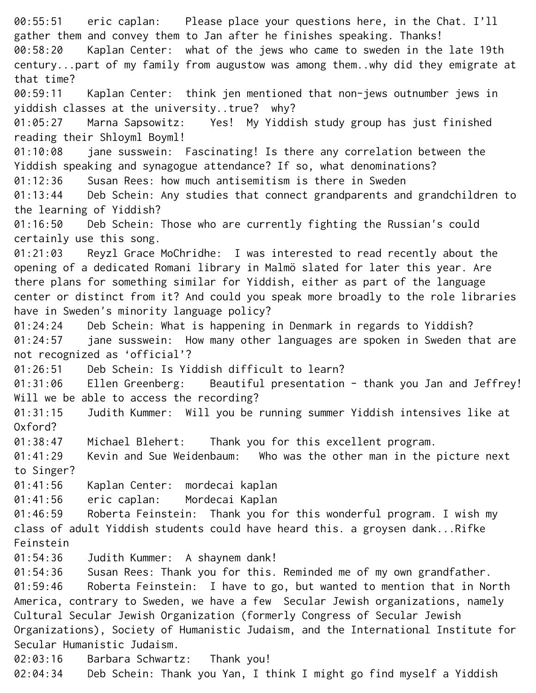00:55:51 eric caplan: Please place your questions here, in the Chat. I'll gather them and convey them to Jan after he finishes speaking. Thanks! 00:58:20 Kaplan Center: what of the jews who came to sweden in the late 19th century...part of my family from augustow was among them..why did they emigrate at that time?¬ 00:59:11 Kaplan Center: think jen mentioned that non-jews outnumber jews in yiddish classes at the university..true? why?¬ 01:05:27 Marna Sapsowitz: Yes! My Yiddish study group has just finished reading their Shloyml Boyml!¬ 01:10:08 jane susswein: Fascinating! Is there any correlation between the Yiddish speaking and synagogue attendance? If so, what denominations? 01:12:36 Susan Rees: how much antisemitism is there in Sweden¬ 01:13:44 Deb Schein: Any studies that connect grandparents and grandchildren to the learning of Yiddish?¬ 01:16:50 Deb Schein: Those who are currently fighting the Russian's could certainly use this song.¬ 01:21:03 Reyzl Grace MoChridhe: I was interested to read recently about the opening of a dedicated Romani library in Malmö slated for later this year. Are there plans for something similar for Yiddish, either as part of the language center or distinct from it? And could you speak more broadly to the role libraries have in Sweden's minority language policy?¬ 01:24:24 Deb Schein: What is happening in Denmark in regards to Yiddish?¬ 01:24:57 jane susswein: How many other languages are spoken in Sweden that are not recognized as 'official'?¬ 01:26:51 Deb Schein: Is Yiddish difficult to learn?¬ 01:31:06 Ellen Greenberg: Beautiful presentation - thank you Jan and Jeffrey! Will we be able to access the recording? 01:31:15 Judith Kummer: Will you be running summer Yiddish intensives like at Oxford?¬ 01:38:47 Michael Blehert: Thank you for this excellent program.¬ 01:41:29 Kevin and Sue Weidenbaum: Who was the other man in the picture next to Singer?¬ 01:41:56 Kaplan Center: mordecai kaplan¬ 01:41:56 eric caplan: Mordecai Kaplan¬ 01:46:59 Roberta Feinstein: Thank you for this wonderful program. I wish my class of adult Yiddish students could have heard this. a groysen dank...Rifke Feinstein¬ 01:54:36 Judith Kummer: A shaynem dank!¬ 01:54:36 Susan Rees: Thank you for this. Reminded me of my own grandfather.¬ 01:59:46 Roberta Feinstein: I have to go, but wanted to mention that in North America, contrary to Sweden, we have a few Secular Jewish organizations, namely Cultural Secular Jewish Organization (formerly Congress of Secular Jewish Organizations), Society of Humanistic Judaism, and the International Institute for Secular Humanistic Judaism.¬ 02:03:16 Barbara Schwartz: Thank you!¬ 02:04:34 Deb Schein: Thank you Yan, I think I might go find myself a Yiddish